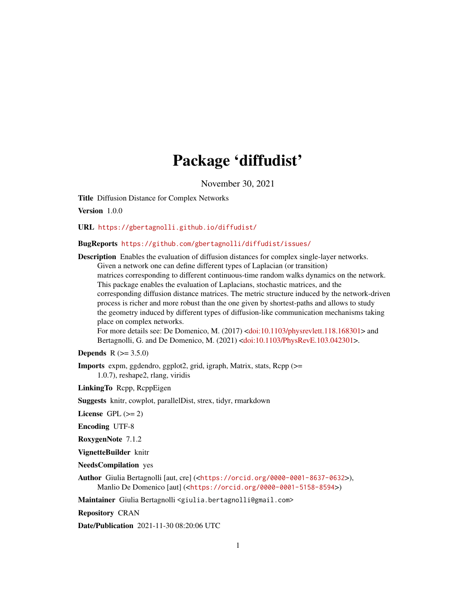## Package 'diffudist'

November 30, 2021

<span id="page-0-0"></span>Title Diffusion Distance for Complex Networks

Version 1.0.0

URL <https://gbertagnolli.github.io/diffudist/>

## BugReports <https://github.com/gbertagnolli/diffudist/issues/>

Description Enables the evaluation of diffusion distances for complex single-layer networks. Given a network one can define different types of Laplacian (or transition) matrices corresponding to different continuous-time random walks dynamics on the network. This package enables the evaluation of Laplacians, stochastic matrices, and the corresponding diffusion distance matrices. The metric structure induced by the network-driven process is richer and more robust than the one given by shortest-paths and allows to study the geometry induced by different types of diffusion-like communication mechanisms taking place on complex networks.

For more details see: De Domenico, M. (2017) [<doi:10.1103/physrevlett.118.168301>](https://doi.org/10.1103/physrevlett.118.168301) and Bertagnolli, G. and De Domenico, M. (2021) [<doi:10.1103/PhysRevE.103.042301>](https://doi.org/10.1103/PhysRevE.103.042301).

**Depends** R  $(>= 3.5.0)$ 

Imports expm, ggdendro, ggplot2, grid, igraph, Matrix, stats, Rcpp (>= 1.0.7), reshape2, rlang, viridis

LinkingTo Rcpp, RcppEigen

Suggests knitr, cowplot, parallelDist, strex, tidyr, rmarkdown

License GPL  $(>= 2)$ 

Encoding UTF-8

RoxygenNote 7.1.2

VignetteBuilder knitr

NeedsCompilation yes

Author Giulia Bertagnolli [aut, cre] (<<https://orcid.org/0000-0001-8637-0632>>), Manlio De Domenico [aut] (<<https://orcid.org/0000-0001-5158-8594>>)

Maintainer Giulia Bertagnolli <giulia.bertagnolli@gmail.com>

Repository CRAN

Date/Publication 2021-11-30 08:20:06 UTC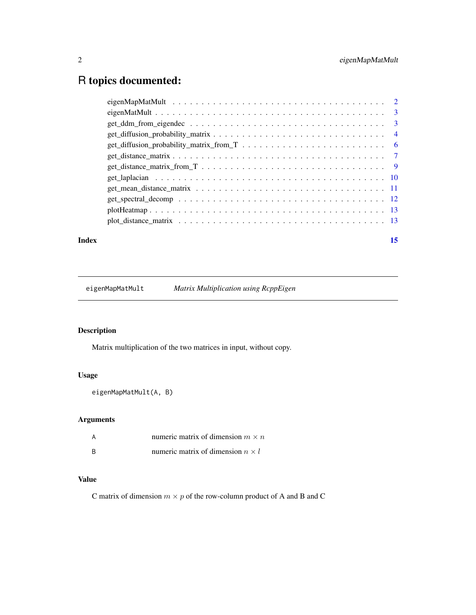## <span id="page-1-0"></span>R topics documented:

| Index | 15 |
|-------|----|
|       |    |
|       |    |
|       |    |
|       |    |
|       |    |
|       |    |
|       |    |
|       |    |
|       |    |
|       |    |
|       |    |
|       |    |

eigenMapMatMult *Matrix Multiplication using RcppEigen*

## Description

Matrix multiplication of the two matrices in input, without copy.

## Usage

```
eigenMapMatMult(A, B)
```
## Arguments

| А | numeric matrix of dimension $m \times n$ |
|---|------------------------------------------|
| B | numeric matrix of dimension $n \times l$ |

## Value

C matrix of dimension  $m \times p$  of the row-column product of A and B and C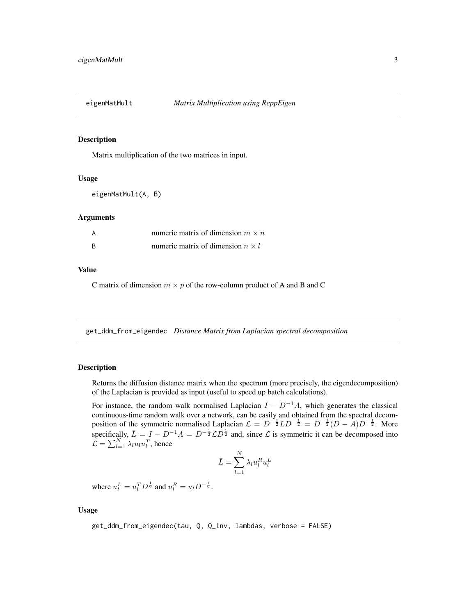<span id="page-2-0"></span>

#### Description

Matrix multiplication of the two matrices in input.

#### Usage

eigenMatMult(A, B)

#### Arguments

| A | numeric matrix of dimension $m \times n$ |
|---|------------------------------------------|
| B | numeric matrix of dimension $n \times l$ |

#### Value

C matrix of dimension  $m \times p$  of the row-column product of A and B and C

<span id="page-2-1"></span>get\_ddm\_from\_eigendec *Distance Matrix from Laplacian spectral decomposition*

## Description

Returns the diffusion distance matrix when the spectrum (more precisely, the eigendecomposition) of the Laplacian is provided as input (useful to speed up batch calculations).

For instance, the random walk normalised Laplacian  $I - D^{-1}A$ , which generates the classical continuous-time random walk over a network, can be easily and obtained from the spectral decomposition of the symmetric normalised Laplacian  $\mathcal{L} = D^{-\frac{1}{2}}LD^{-\frac{1}{2}} = D^{-\frac{1}{2}}(D - A)D^{-\frac{1}{2}}$ . More specifically,  $\bar{L} = I - D^{-1}A = D^{-\frac{1}{2}}\mathcal{L}D^{\frac{1}{2}}$  and, since  $\mathcal L$  is symmetric it can be decomposed into  $\mathcal{L} = \sum_{l=1}^{N} \lambda_l u_l u_l^T$ , hence

$$
\bar{L} = \sum_{l=1}^{N} \lambda_l u_l^R u_l^L
$$

where  $u_l^L = u_l^T D^{\frac{1}{2}}$  and  $u_l^R = u_l D^{-\frac{1}{2}}$ .

#### Usage

get\_ddm\_from\_eigendec(tau, Q, Q\_inv, lambdas, verbose = FALSE)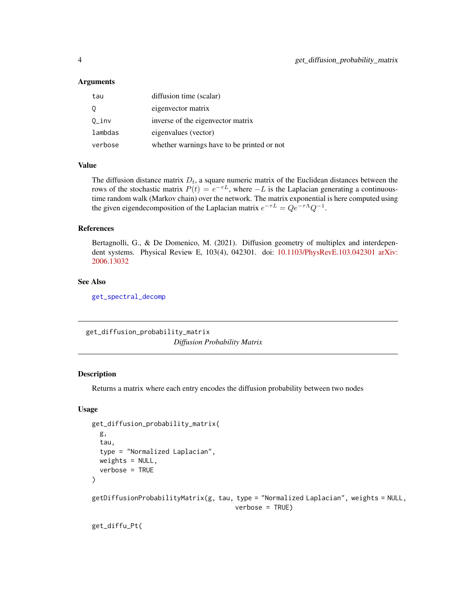### <span id="page-3-0"></span>**Arguments**

| tau      | diffusion time (scalar)                    |
|----------|--------------------------------------------|
| 0        | eigenvector matrix                         |
| $0_$ inv | inverse of the eigenvector matrix          |
| lambdas  | eigenvalues (vector)                       |
| verbose  | whether warnings have to be printed or not |

#### Value

The diffusion distance matrix  $D_t$ , a square numeric matrix of the Euclidean distances between the rows of the stochastic matrix  $P(t) = e^{-\tau L}$ , where  $-L$  is the Laplacian generating a continuoustime random walk (Markov chain) over the network. The matrix exponential is here computed using the given eigendecomposition of the Laplacian matrix  $e^{-\tau L} = Q e^{-\tau \Lambda} Q^{-1}$ .

#### References

Bertagnolli, G., & De Domenico, M. (2021). Diffusion geometry of multiplex and interdependent systems. Physical Review E, 103(4), 042301. doi: [10.1103/PhysRevE.103.042301](https://doi.org/10.1103/PhysRevE.103.042301) [arXiv:](https://arxiv.org/abs/2006.13032) [2006.13032](https://arxiv.org/abs/2006.13032)

#### See Also

[get\\_spectral\\_decomp](#page-11-1)

<span id="page-3-1"></span>get\_diffusion\_probability\_matrix *Diffusion Probability Matrix*

### Description

Returns a matrix where each entry encodes the diffusion probability between two nodes

#### Usage

```
get_diffusion_probability_matrix(
 g,
  tau,
  type = "Normalized Laplacian",
 weights = NULL,verbose = TRUE
)
getDiffusionProbabilityMatrix(g, tau, type = "Normalized Laplacian", weights = NULL,verbose = TRUE)
```
get\_diffu\_Pt(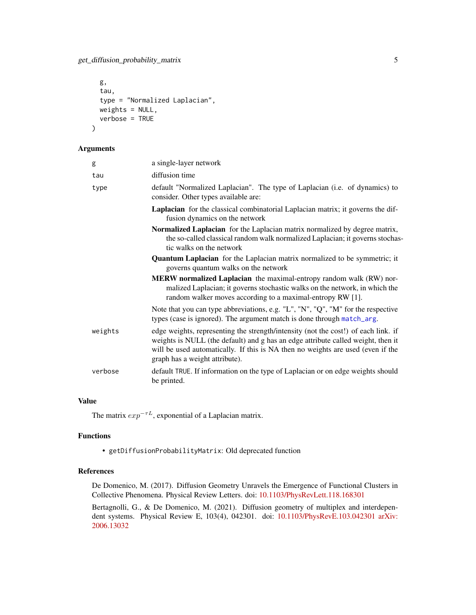```
g,
  tau,
  type = "Normalized Laplacian",
 weights = NULL,
  verbose = TRUE
\mathcal{L}
```
#### Arguments

| g       | a single-layer network                                                                                                                                                                                                                                                                      |
|---------|---------------------------------------------------------------------------------------------------------------------------------------------------------------------------------------------------------------------------------------------------------------------------------------------|
| tau     | diffusion time                                                                                                                                                                                                                                                                              |
| type    | default "Normalized Laplacian". The type of Laplacian (i.e. of dynamics) to<br>consider. Other types available are:                                                                                                                                                                         |
|         | <b>Laplacian</b> for the classical combinatorial Laplacian matrix; it governs the dif-<br>fusion dynamics on the network                                                                                                                                                                    |
|         | Normalized Laplacian for the Laplacian matrix normalized by degree matrix,<br>the so-called classical random walk normalized Laplacian; it governs stochas-<br>tic walks on the network                                                                                                     |
|         | <b>Quantum Laplacian</b> for the Laplacian matrix normalized to be symmetric; it<br>governs quantum walks on the network                                                                                                                                                                    |
|         | MERW normalized Laplacian the maximal-entropy random walk (RW) nor-<br>malized Laplacian; it governs stochastic walks on the network, in which the<br>random walker moves according to a maximal-entropy RW [1].                                                                            |
|         | Note that you can type abbreviations, e.g. "L", "N", "Q", "M" for the respective<br>types (case is ignored). The argument match is done through match_arg.                                                                                                                                  |
| weights | edge weights, representing the strength/intensity (not the cost!) of each link. if<br>weights is NULL (the default) and g has an edge attribute called weight, then it<br>will be used automatically. If this is NA then no weights are used (even if the<br>graph has a weight attribute). |
| verbose | default TRUE. If information on the type of Laplacian or on edge weights should<br>be printed.                                                                                                                                                                                              |

## Value

The matrix  $exp^{-\tau L}$ , exponential of a Laplacian matrix.

## Functions

• getDiffusionProbabilityMatrix: Old deprecated function

#### References

De Domenico, M. (2017). Diffusion Geometry Unravels the Emergence of Functional Clusters in Collective Phenomena. Physical Review Letters. doi: [10.1103/PhysRevLett.118.168301](https://doi.org/10.1103/PhysRevLett.118.168301)

Bertagnolli, G., & De Domenico, M. (2021). Diffusion geometry of multiplex and interdependent systems. Physical Review E, 103(4), 042301. doi: [10.1103/PhysRevE.103.042301](https://doi.org/10.1103/PhysRevE.103.042301) [arXiv:](https://arxiv.org/abs/2006.13032) [2006.13032](https://arxiv.org/abs/2006.13032)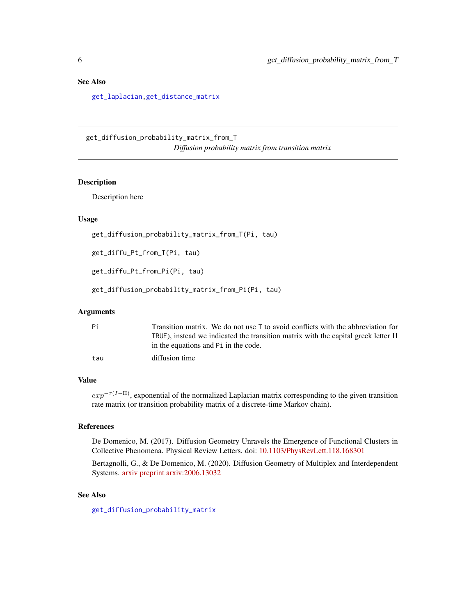## <span id="page-5-0"></span>See Also

[get\\_laplacian](#page-9-1)[,get\\_distance\\_matrix](#page-6-1)

<span id="page-5-1"></span>get\_diffusion\_probability\_matrix\_from\_T *Diffusion probability matrix from transition matrix*

#### Description

Description here

#### Usage

```
get_diffusion_probability_matrix_from_T(Pi, tau)
```
get\_diffu\_Pt\_from\_T(Pi, tau)

get\_diffu\_Pt\_from\_Pi(Pi, tau)

get\_diffusion\_probability\_matrix\_from\_Pi(Pi, tau)

## Arguments

| Pi  | Transition matrix. We do not use $\bar{I}$ to avoid conflicts with the abbreviation for |
|-----|-----------------------------------------------------------------------------------------|
|     | TRUE), instead we indicated the transition matrix with the capital greek letter $\Pi$   |
|     | in the equations and P i in the code.                                                   |
| tau | diffusion time                                                                          |

## Value

 $exp^{-\tau(I-\Pi)}$ , exponential of the normalized Laplacian matrix corresponding to the given transition rate matrix (or transition probability matrix of a discrete-time Markov chain).

## References

De Domenico, M. (2017). Diffusion Geometry Unravels the Emergence of Functional Clusters in Collective Phenomena. Physical Review Letters. doi: [10.1103/PhysRevLett.118.168301](https://doi.org/10.1103/PhysRevLett.118.168301)

Bertagnolli, G., & De Domenico, M. (2020). Diffusion Geometry of Multiplex and Interdependent Systems. [arxiv preprint arxiv:2006.13032](https://arxiv.org/abs/2006.13032)

## See Also

[get\\_diffusion\\_probability\\_matrix](#page-3-1)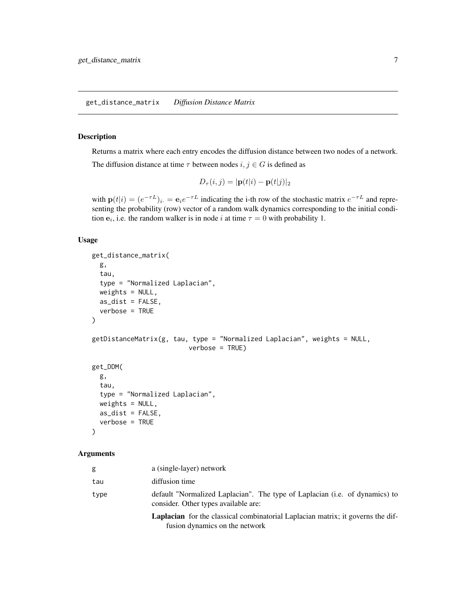## <span id="page-6-1"></span><span id="page-6-0"></span>Description

Returns a matrix where each entry encodes the diffusion distance between two nodes of a network. The diffusion distance at time  $\tau$  between nodes  $i, j \in G$  is defined as

$$
D_{\tau}(i,j) = |\mathbf{p}(t|i) - \mathbf{p}(t|j)|_2
$$

with  $p(t|i) = (e^{-\tau L})_{i} = e_i e^{-\tau L}$  indicating the i-th row of the stochastic matrix  $e^{-\tau L}$  and representing the probability (row) vector of a random walk dynamics corresponding to the initial condition  $e_i$ , i.e. the random walker is in node *i* at time  $\tau = 0$  with probability 1.

#### Usage

```
get_distance_matrix(
  g,
  tau,
  type = "Normalized Laplacian",
  weights = NULL,as\_dist = FALSE,verbose = TRUE
\mathcal{L}getDistanceMatrix(g, tau, type = "Normalized Laplacian", weights = NULL,
                          verbose = TRUE)
get_DDM(
  g,
  tau,
  type = "Normalized Laplacian",
  weights = NULL,as\_dist = FALSE,verbose = TRUE
)
```
## Arguments

| g    | a (single-layer) network                                                                                                 |
|------|--------------------------------------------------------------------------------------------------------------------------|
| tau  | diffusion time                                                                                                           |
| type | default "Normalized Laplacian". The type of Laplacian (i.e. of dynamics) to<br>consider. Other types available are:      |
|      | <b>Laplacian</b> for the classical combinatorial Laplacian matrix; it governs the dif-<br>fusion dynamics on the network |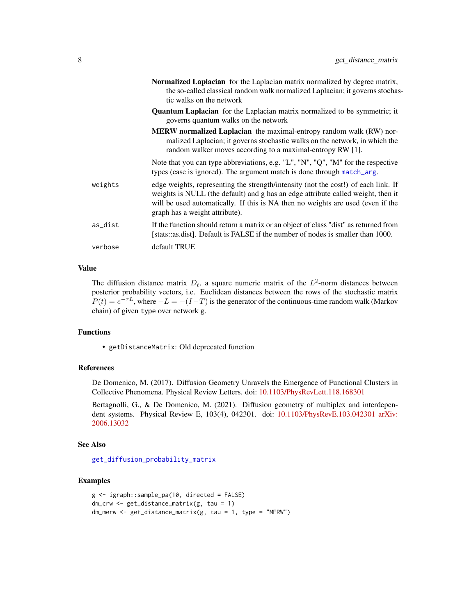<span id="page-7-0"></span>

|         | Normalized Laplacian for the Laplacian matrix normalized by degree matrix,<br>the so-called classical random walk normalized Laplacian; it governs stochas-<br>tic walks on the network                                                                                                     |
|---------|---------------------------------------------------------------------------------------------------------------------------------------------------------------------------------------------------------------------------------------------------------------------------------------------|
|         | <b>Quantum Laplacian</b> for the Laplacian matrix normalized to be symmetric; it<br>governs quantum walks on the network                                                                                                                                                                    |
|         | <b>MERW</b> normalized Laplacian the maximal-entropy random walk (RW) nor-<br>malized Laplacian; it governs stochastic walks on the network, in which the<br>random walker moves according to a maximal-entropy RW [1].                                                                     |
|         | Note that you can type abbreviations, e.g. "L", "N", "Q", "M" for the respective<br>types (case is ignored). The argument match is done through match_arg.                                                                                                                                  |
| weights | edge weights, representing the strength/intensity (not the cost!) of each link. If<br>weights is NULL (the default) and g has an edge attribute called weight, then it<br>will be used automatically. If this is NA then no weights are used (even if the<br>graph has a weight attribute). |
| as_dist | If the function should return a matrix or an object of class "dist" as returned from<br>[stats::as.dist]. Default is FALSE if the number of nodes is smaller than 1000.                                                                                                                     |
| verbose | default TRUE                                                                                                                                                                                                                                                                                |

## Value

The diffusion distance matrix  $D_t$ , a square numeric matrix of the  $L^2$ -norm distances between posterior probability vectors, i.e. Euclidean distances between the rows of the stochastic matrix  $P(t) = e^{-\tau L}$ , where  $-L = -(I - T)$  is the generator of the continuous-time random walk (Markov chain) of given type over network g.

## Functions

• getDistanceMatrix: Old deprecated function

## References

De Domenico, M. (2017). Diffusion Geometry Unravels the Emergence of Functional Clusters in Collective Phenomena. Physical Review Letters. doi: [10.1103/PhysRevLett.118.168301](https://doi.org/10.1103/PhysRevLett.118.168301)

Bertagnolli, G., & De Domenico, M. (2021). Diffusion geometry of multiplex and interdependent systems. Physical Review E, 103(4), 042301. doi: [10.1103/PhysRevE.103.042301](https://doi.org/10.1103/PhysRevE.103.042301) [arXiv:](https://arxiv.org/abs/2006.13032) [2006.13032](https://arxiv.org/abs/2006.13032)

#### See Also

[get\\_diffusion\\_probability\\_matrix](#page-3-1)

## Examples

```
g <- igraph::sample_pa(10, directed = FALSE)
dm_crw <- get_distance_matrix(g, tau = 1)
dm_merw <- get_distance_matrix(g, tau = 1, type = "MERW")
```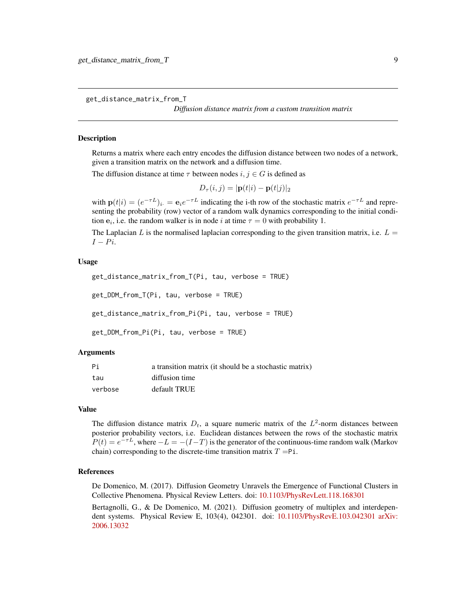<span id="page-8-0"></span>get\_distance\_matrix\_from\_T

*Diffusion distance matrix from a custom transition matrix*

#### **Description**

Returns a matrix where each entry encodes the diffusion distance between two nodes of a network, given a transition matrix on the network and a diffusion time.

The diffusion distance at time  $\tau$  between nodes  $i, j \in G$  is defined as

$$
D_{\tau}(i,j) = |\mathbf{p}(t|i) - \mathbf{p}(t|j)|_2
$$

with  $p(t|i) = (e^{-\tau L})_i = e_i e^{-\tau L}$  indicating the i-th row of the stochastic matrix  $e^{-\tau L}$  and representing the probability (row) vector of a random walk dynamics corresponding to the initial condition  $e_i$ , i.e. the random walker is in node i at time  $\tau = 0$  with probability 1.

The Laplacian L is the normalised laplacian corresponding to the given transition matrix, i.e.  $L =$  $I - Pi$ .

#### Usage

```
get_distance_matrix_from_T(Pi, tau, verbose = TRUE)
get_DDM_from_T(Pi, tau, verbose = TRUE)
get_distance_matrix_from_Pi(Pi, tau, verbose = TRUE)
```
get\_DDM\_from\_Pi(Pi, tau, verbose = TRUE)

#### Arguments

| Pi      | a transition matrix (it should be a stochastic matrix) |
|---------|--------------------------------------------------------|
| tau     | diffusion time                                         |
| verbose | default TRUE                                           |

#### Value

The diffusion distance matrix  $D_t$ , a square numeric matrix of the  $L^2$ -norm distances between posterior probability vectors, i.e. Euclidean distances between the rows of the stochastic matrix  $P(t) = e^{-\tau L}$ , where  $-L = -(I - T)$  is the generator of the continuous-time random walk (Markov chain) corresponding to the discrete-time transition matrix  $T = Pi$ .

#### References

De Domenico, M. (2017). Diffusion Geometry Unravels the Emergence of Functional Clusters in Collective Phenomena. Physical Review Letters. doi: [10.1103/PhysRevLett.118.168301](https://doi.org/10.1103/PhysRevLett.118.168301)

Bertagnolli, G., & De Domenico, M. (2021). Diffusion geometry of multiplex and interdependent systems. Physical Review E, 103(4), 042301. doi: [10.1103/PhysRevE.103.042301](https://doi.org/10.1103/PhysRevE.103.042301) [arXiv:](https://arxiv.org/abs/2006.13032) [2006.13032](https://arxiv.org/abs/2006.13032)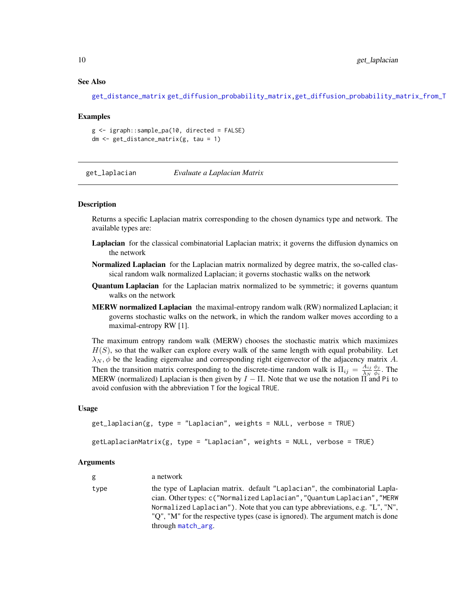#### See Also

[get\\_distance\\_matrix](#page-6-1) [get\\_diffusion\\_probability\\_matrix,](#page-3-1)[get\\_diffusion\\_probability\\_matrix\\_from\\_T](#page-5-1)

#### Examples

```
g <- igraph::sample_pa(10, directed = FALSE)
dm <- get_distance_matrix(g, tau = 1)
```
<span id="page-9-1"></span>get\_laplacian *Evaluate a Laplacian Matrix*

#### Description

Returns a specific Laplacian matrix corresponding to the chosen dynamics type and network. The available types are:

- Laplacian for the classical combinatorial Laplacian matrix; it governs the diffusion dynamics on the network
- Normalized Laplacian for the Laplacian matrix normalized by degree matrix, the so-called classical random walk normalized Laplacian; it governs stochastic walks on the network
- Quantum Laplacian for the Laplacian matrix normalized to be symmetric; it governs quantum walks on the network
- MERW normalized Laplacian the maximal-entropy random walk (RW) normalized Laplacian; it governs stochastic walks on the network, in which the random walker moves according to a maximal-entropy RW [1].

The maximum entropy random walk (MERW) chooses the stochastic matrix which maximizes  $H(S)$ , so that the walker can explore every walk of the same length with equal probability. Let  $\lambda_N$ ,  $\phi$  be the leading eigenvalue and corresponding right eigenvector of the adjacency matrix A. Then the transition matrix corresponding to the discrete-time random walk is  $\Pi_{ij} = \frac{A_{ij}}{\lambda_{ki}}$  $\lambda_N$  $\phi_j$  $\frac{\varphi_j}{\phi_i}$ . The MERW (normalized) Laplacian is then given by  $I - \Pi$ . Note that we use the notation  $\Pi$  and Pi to avoid confusion with the abbreviation T for the logical TRUE.

#### Usage

```
get_laplacian(g, type = "Laplacian", weights = NULL, verbose = TRUE)
```

```
getLaplacianMatrix(g, type = "Laplacian", weights = NULL, verbose = TRUE)
```
#### Arguments

| g    | a network                                                                                                                                                                                                                                                                                                                                       |
|------|-------------------------------------------------------------------------------------------------------------------------------------------------------------------------------------------------------------------------------------------------------------------------------------------------------------------------------------------------|
| type | the type of Laplacian matrix. default "Laplacian", the combinatorial Lapla-<br>cian. Other types: c("Normalized Laplacian", "Quantum Laplacian", "MERW<br>Normalized Laplacian"). Note that you can type abbreviations, e.g. "L", "N",<br>"Q", "M" for the respective types (case is ignored). The argument match is done<br>through match_arg. |

<span id="page-9-0"></span>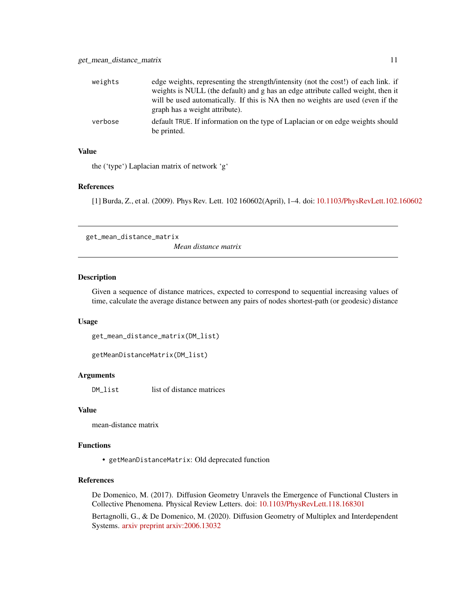<span id="page-10-0"></span>

| weights | edge weights, representing the strength/intensity (not the cost!) of each link. if             |
|---------|------------------------------------------------------------------------------------------------|
|         | weights is NULL (the default) and g has an edge attribute called weight, then it               |
|         | will be used automatically. If this is NA then no weights are used (even if the                |
|         | graph has a weight attribute).                                                                 |
| verbose | default TRUE. If information on the type of Laplacian or on edge weights should<br>be printed. |

### Value

the ('type') Laplacian matrix of network 'g'

#### References

[1] Burda, Z., et al. (2009). Phys Rev. Lett. 102 160602(April), 1–4. doi: [10.1103/PhysRevLett.102.160602](https://doi.org/10.1103/PhysRevLett.102.160602)

get\_mean\_distance\_matrix

*Mean distance matrix*

## Description

Given a sequence of distance matrices, expected to correspond to sequential increasing values of time, calculate the average distance between any pairs of nodes shortest-path (or geodesic) distance

#### Usage

get\_mean\_distance\_matrix(DM\_list)

getMeanDistanceMatrix(DM\_list)

## Arguments

DM<sub>\_list</sub> list of distance matrices

#### Value

mean-distance matrix

#### Functions

• getMeanDistanceMatrix: Old deprecated function

## References

De Domenico, M. (2017). Diffusion Geometry Unravels the Emergence of Functional Clusters in Collective Phenomena. Physical Review Letters. doi: [10.1103/PhysRevLett.118.168301](https://doi.org/10.1103/PhysRevLett.118.168301)

Bertagnolli, G., & De Domenico, M. (2020). Diffusion Geometry of Multiplex and Interdependent Systems. [arxiv preprint arxiv:2006.13032](https://arxiv.org/abs/2006.13032)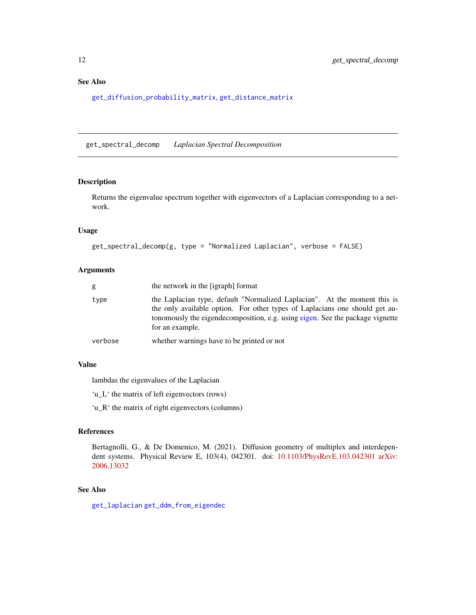## <span id="page-11-0"></span>See Also

[get\\_diffusion\\_probability\\_matrix](#page-3-1), [get\\_distance\\_matrix](#page-6-1)

<span id="page-11-1"></span>get\_spectral\_decomp *Laplacian Spectral Decomposition*

### Description

Returns the eigenvalue spectrum together with eigenvectors of a Laplacian corresponding to a network.

### Usage

get\_spectral\_decomp(g, type = "Normalized Laplacian", verbose = FALSE)

## Arguments

| g       | the network in the [igraph] format                                                                                                                                                                                                                           |
|---------|--------------------------------------------------------------------------------------------------------------------------------------------------------------------------------------------------------------------------------------------------------------|
| type    | the Laplacian type, default "Normalized Laplacian". At the moment this is<br>the only available option. For other types of Laplacians one should get au-<br>tonomously the eigendecomposition, e.g. using eigen. See the package vignette<br>for an example. |
| verbose | whether warnings have to be printed or not                                                                                                                                                                                                                   |

## Value

lambdas the eigenvalues of the Laplacian

'u\_L' the matrix of left eigenvectors (rows)

'u\_R' the matrix of right eigenvectors (columns)

## References

Bertagnolli, G., & De Domenico, M. (2021). Diffusion geometry of multiplex and interdependent systems. Physical Review E, 103(4), 042301. doi: [10.1103/PhysRevE.103.042301](https://doi.org/10.1103/PhysRevE.103.042301) [arXiv:](https://arxiv.org/abs/2006.13032) [2006.13032](https://arxiv.org/abs/2006.13032)

### See Also

[get\\_laplacian](#page-9-1) [get\\_ddm\\_from\\_eigendec](#page-2-1)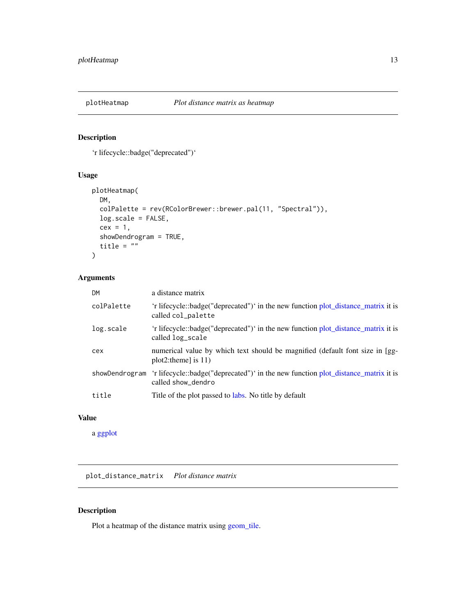<span id="page-12-0"></span>

## Description

'r lifecycle::badge("deprecated")'

## Usage

```
plotHeatmap(
 DM,
  colPalette = rev(RColorBrewer::brewer.pal(11, "Spectral")),
 log.scale = FALSE,
 cex = 1,
  showDendrogram = TRUE,
  title = ")
```
## Arguments

| <b>DM</b>      | a distance matrix                                                                                       |
|----------------|---------------------------------------------------------------------------------------------------------|
| colPalette     | 'r lifecycle::badge("deprecated")' in the new function plot_distance_matrix it is<br>called col_palette |
| log.scale      | 'r lifecycle::badge("deprecated")' in the new function plot_distance_matrix it is<br>called log_scale   |
| cex            | numerical value by which text should be magnified (default font size in [gg-<br>$plot2:$ theme] is 11)  |
| showDendrogram | 'r lifecycle::badge("deprecated")' in the new function plot_distance_matrix it is<br>called show_dendro |
| title          | Title of the plot passed to labs. No title by default                                                   |

## Value

a [ggplot](#page-0-0)

<span id="page-12-1"></span>plot\_distance\_matrix *Plot distance matrix*

## Description

Plot a heatmap of the distance matrix using [geom\\_tile.](#page-0-0)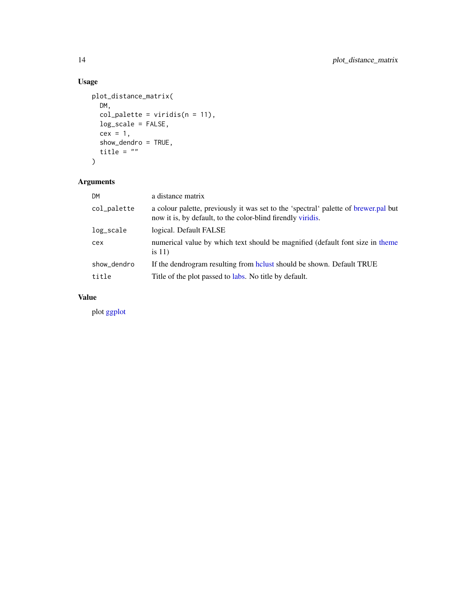## Usage

```
plot_distance_matrix(
  DM,
  col\_palette = viridis(n = 11),
  log_scale = FALSE,
  cex = 1,
  show_dendro = TRUE,
  title = "\mathcal{L}
```
## Arguments

| <b>DM</b>   | a distance matrix                                                                                                                                  |
|-------------|----------------------------------------------------------------------------------------------------------------------------------------------------|
| col_palette | a colour palette, previously it was set to the 'spectral' palette of brewer.pal but<br>now it is, by default, to the color-blind firendly viridis. |
| log_scale   | logical. Default FALSE                                                                                                                             |
| cex         | numerical value by which text should be magnified (default font size in theme<br>is $11)$                                                          |
| show_dendro | If the dendrogram resulting from holy should be shown. Default TRUE                                                                                |
| title       | Title of the plot passed to labs. No title by default.                                                                                             |

## Value

plot [ggplot](#page-0-0)

<span id="page-13-0"></span>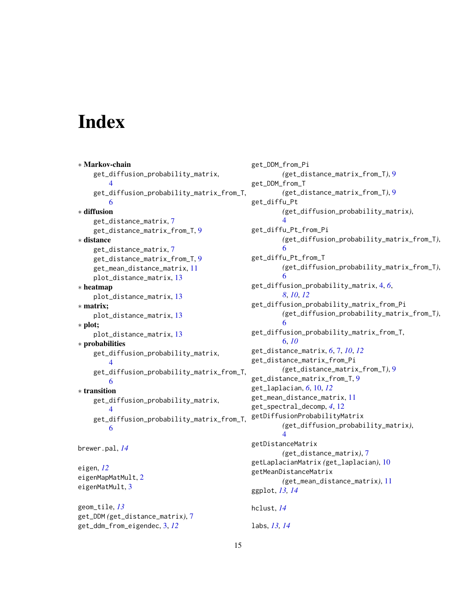# <span id="page-14-0"></span>**Index**

```
∗ Markov-chain
    get_diffusion_probability_matrix,
        \Deltaget_diffusion_probability_matrix_from_T,
        6
∗ diffusion
    get_distance_matrix, 7
    get_distance_matrix_from_T, 9
∗ distance
    get_distance_matrix, 7
    get_distance_matrix_from_T, 9
    get_mean_distance_matrix, 11
    plot_distance_matrix, 13
∗ heatmap
    plot_distance_matrix, 13
∗ matrix;
    plot_distance_matrix, 13
∗ plot;
    plot_distance_matrix, 13
∗ probabilities
    get_diffusion_probability_matrix,
        4
    get_diffusion_probability_matrix_from_T,
        6
∗ transition
    get_diffusion_probability_matrix,
        4
    get_diffusion_probability_matrix_from_T,
        6
brewer.pal, 14
eigen, 12
eigenMapMatMult, 2
eigenMatMult, 3
geom_tile, 13
get_DDM (get_distance_matrix), 7
```
get\_ddm\_from\_eigendec, [3,](#page-2-0) *[12](#page-11-0)*

get\_DDM\_from\_Pi *(*get\_distance\_matrix\_from\_T*)*, [9](#page-8-0) get\_DDM\_from\_T *(*get\_distance\_matrix\_from\_T*)*, [9](#page-8-0) get\_diffu\_Pt *(*get\_diffusion\_probability\_matrix*)*,  $\Delta$ get\_diffu\_Pt\_from\_Pi *(*get\_diffusion\_probability\_matrix\_from\_T*)*, [6](#page-5-0) get\_diffu\_Pt\_from\_T *(*get\_diffusion\_probability\_matrix\_from\_T*)*, [6](#page-5-0) get\_diffusion\_probability\_matrix, [4,](#page-3-0) *[6](#page-5-0)*, *[8](#page-7-0)*, *[10](#page-9-0)*, *[12](#page-11-0)* get\_diffusion\_probability\_matrix\_from\_Pi *(*get\_diffusion\_probability\_matrix\_from\_T*)*, [6](#page-5-0) get\_diffusion\_probability\_matrix\_from\_T, [6,](#page-5-0) *[10](#page-9-0)* get\_distance\_matrix, *[6](#page-5-0)*, [7,](#page-6-0) *[10](#page-9-0)*, *[12](#page-11-0)* get\_distance\_matrix\_from\_Pi *(*get\_distance\_matrix\_from\_T*)*, [9](#page-8-0) get\_distance\_matrix\_from\_T, [9](#page-8-0) get\_laplacian, *[6](#page-5-0)*, [10,](#page-9-0) *[12](#page-11-0)* get\_mean\_distance\_matrix, [11](#page-10-0) get\_spectral\_decomp, *[4](#page-3-0)*, [12](#page-11-0) getDiffusionProbabilityMatrix *(*get\_diffusion\_probability\_matrix*)*,  $\Delta$ getDistanceMatrix *(*get\_distance\_matrix*)*, [7](#page-6-0) getLaplacianMatrix *(*get\_laplacian*)*, [10](#page-9-0) getMeanDistanceMatrix *(*get\_mean\_distance\_matrix*)*, [11](#page-10-0) ggplot, *[13,](#page-12-0) [14](#page-13-0)* hclust, *[14](#page-13-0)* labs, *[13,](#page-12-0) [14](#page-13-0)*